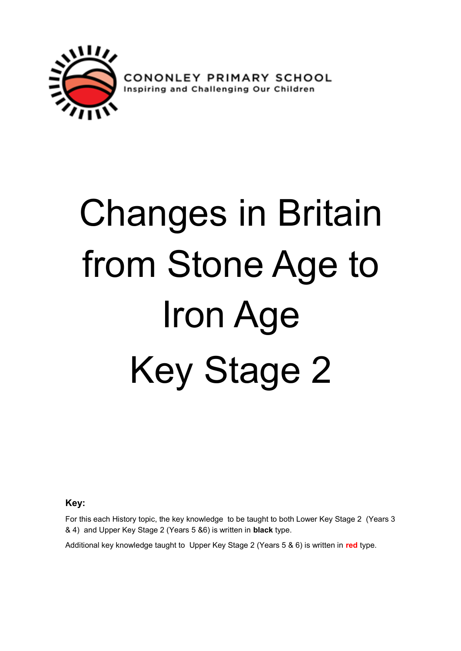

**PRIMARY SCHOOL**<br>allenging Our Children CONOI Inspiring and Ch

# Changes in Britain from Stone Age to Iron Age Key Stage 2

**Key:**

For this each History topic, the key knowledge to be taught to both Lower Key Stage 2 (Years 3 & 4) and Upper Key Stage 2 (Years 5 &6) is written in **black** type.

Additional key knowledge taught to Upper Key Stage 2 (Years 5 & 6) is written in **red** type.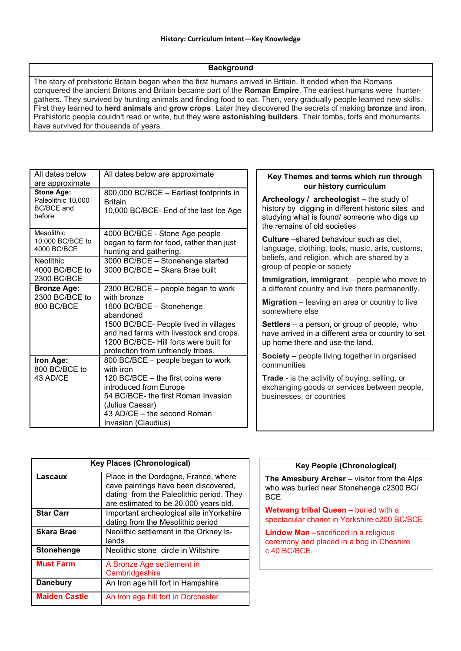#### **Background**

The story of prehistoric Britain began when the first humans arrived in Britain. It ended when the Romans conquered the ancient Britons and Britain became part of the **Roman Empire**. The earliest humans were huntergathers. They survived by hunting animals and finding food to eat. Then, very gradually people learned new skills. First they learned to **herd animals** and **grow crops**. Later they discovered the secrets of making **bronze** and **iron**. Prehistoric people couldn't read or write, but they were **astonishing builders**. Their tombs, forts and monuments have survived for thousands of years.

| All dates below<br>are approximate                                     | All dates below are approximate                                                                                                                                                                                                                                |
|------------------------------------------------------------------------|----------------------------------------------------------------------------------------------------------------------------------------------------------------------------------------------------------------------------------------------------------------|
| <b>Stone Age:</b><br>Paleolithic 10,000<br><b>BC/BCE</b> and<br>before | 800,000 BC/BCE - Earliest footprints in<br><b>Britain</b><br>10,000 BC/BCE- End of the last Ice Age                                                                                                                                                            |
| <b>Mesolithic</b><br>10,000 BC/BCE to<br>4000 BC/BCE                   | 4000 BC/BCE - Stone Age people<br>began to farm for food, rather than just<br>hunting and gathering.                                                                                                                                                           |
| <b>Neolithic</b><br>4000 BC/BCE to<br>2300 BC/BCE                      | 3000 BC/BCE - Stonehenge started<br>3000 BC/BCE - Skara Brae built                                                                                                                                                                                             |
| <b>Bronze Age:</b><br>2300 BC/BCE to<br>800 BC/BCE                     | 2300 BC/BCE – people began to work<br>with bronze<br>1600 BC/BCE - Stonehenge<br>abandoned<br>1500 BC/BCE- People lived in villages<br>and had farms with livestock and crops.<br>1200 BC/BCE- Hill forts were built for<br>protection from unfriendly tribes. |
| Iron Age:<br>800 BC/BCE to<br>43 AD/CE                                 | 800 BC/BCE - people began to work<br>with iron<br>120 BC/BCE - the first coins were<br>introduced from Europe<br>54 BC/BCE- the first Roman Invasion<br>(Julius Caesar)<br>43 AD/CE - the second Roman<br>Invasion (Claudius)                                  |

#### **Key Themes and terms which run through our history curriculum**

**Archeology / archeologist –** the study of history by digging in different historic sites and studying what is found/ someone who digs up the remains of old societies

**Culture** –shared behaviour such as diet, language, clothing, tools, music, arts, customs, beliefs, and religion, which are shared by a group of people or society

**Immigration, immigrant** – people who move to a different country and live there permanently.

**Migration** – leaving an area or country to live somewhere else

**Settlers** – a person, or group of people, who have arrived in a different area or country to set up home there and use the land.

**Society** – people living together in organised communities

**Trade -** is the activity of buying, selling, or exchanging goods or services between people, businesses, or countries

| <b>Key Places (Chronological)</b> |                                                                                                                                                                   |  |  |
|-----------------------------------|-------------------------------------------------------------------------------------------------------------------------------------------------------------------|--|--|
| Lascaux                           | Place in the Dordogne, France, where<br>cave paintings have been discovered,<br>dating from the Paleolithic period. They<br>are estimated to be 20,000 years old. |  |  |
| <b>Star Carr</b>                  | Important archeological site inYorkshire<br>dating from the Mesolithic period                                                                                     |  |  |
| <b>Skara Brae</b>                 | Neolithic settlement in the Orkney Is-<br>lands                                                                                                                   |  |  |
| Stonehenge                        | Neolithic stone circle in Wiltshire                                                                                                                               |  |  |
| <b>Must Farm</b>                  | A Bronze Age settlement in<br>Cambridgeshire                                                                                                                      |  |  |
| <b>Danebury</b>                   | An Iron age hill fort in Hampshire                                                                                                                                |  |  |
| <b>Maiden Castle</b>              | An iron age hill fort in Dorchester                                                                                                                               |  |  |

#### **Key People (Chronological)**

**The Amesbury Archer** – visitor from the Alps who was buried near Stonehenge c2300 BC/ **BCE** 

**Wetwang tribal Queen –** buried with a spectacular chariot in Yorkshire c200 BC/BCE

**Lindow Man –**sacrificed in a religious ceremony and placed in a bog in Cheshire c 40 BC/BCE.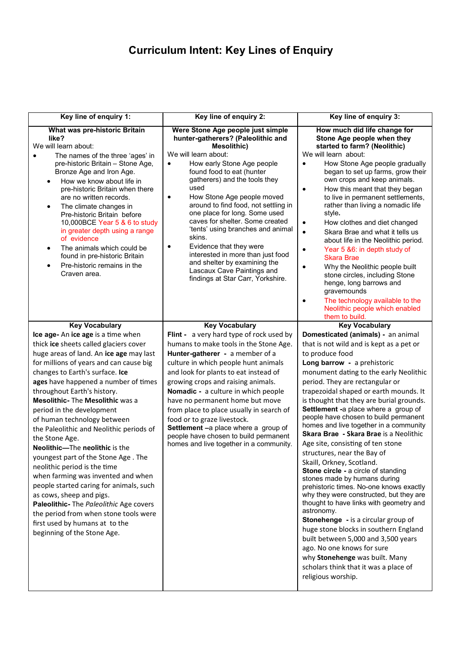## **Curriculum Intent: Key Lines of Enquiry**

| Key line of enquiry 1:                                                                                                                                                                                                                                                                                                                                                                                                                                                                                                                                                                                                                                                                                                                                                                                                      | Key line of enquiry 2:                                                                                                                                                                                                                                                                                                                                                                                                                                                                                                                                                                                               | Key line of enquiry 3:                                                                                                                                                                                                                                                                                                                                                                                                                                                                                                                                                                                                                                                                                                                                                                                                                                                                                                                                                                                                                                |
|-----------------------------------------------------------------------------------------------------------------------------------------------------------------------------------------------------------------------------------------------------------------------------------------------------------------------------------------------------------------------------------------------------------------------------------------------------------------------------------------------------------------------------------------------------------------------------------------------------------------------------------------------------------------------------------------------------------------------------------------------------------------------------------------------------------------------------|----------------------------------------------------------------------------------------------------------------------------------------------------------------------------------------------------------------------------------------------------------------------------------------------------------------------------------------------------------------------------------------------------------------------------------------------------------------------------------------------------------------------------------------------------------------------------------------------------------------------|-------------------------------------------------------------------------------------------------------------------------------------------------------------------------------------------------------------------------------------------------------------------------------------------------------------------------------------------------------------------------------------------------------------------------------------------------------------------------------------------------------------------------------------------------------------------------------------------------------------------------------------------------------------------------------------------------------------------------------------------------------------------------------------------------------------------------------------------------------------------------------------------------------------------------------------------------------------------------------------------------------------------------------------------------------|
| What was pre-historic Britain<br>like?<br>We will learn about:<br>The names of the three 'ages' in<br>pre-historic Britain - Stone Age,<br>Bronze Age and Iron Age.<br>How we know about life in<br>pre-historic Britain when there<br>are no written records.<br>The climate changes in<br>٠<br>Pre-historic Britain before<br>10,000BCE Year 5 & 6 to study<br>in greater depth using a range<br>of evidence<br>The animals which could be<br>found in pre-historic Britain<br>Pre-historic remains in the<br>Craven area.                                                                                                                                                                                                                                                                                                | Were Stone Age people just simple<br>hunter-gatherers? (Paleolithic and<br><b>Mesolithic)</b><br>We will learn about:<br>How early Stone Age people<br>$\bullet$<br>found food to eat (hunter<br>gatherers) and the tools they<br>used<br>How Stone Age people moved<br>٠<br>around to find food, not settling in<br>one place for long. Some used<br>caves for shelter. Some created<br>'tents' using branches and animal<br>skins.<br>Evidence that they were<br>$\bullet$<br>interested in more than just food<br>and shelter by examining the<br>Lascaux Cave Paintings and<br>findings at Star Carr, Yorkshire. | How much did life change for<br>Stone Age people when they<br>started to farm? (Neolithic)<br>We will learn about:<br>How Stone Age people gradually<br>$\bullet$<br>began to set up farms, grow their<br>own crops and keep animals.<br>How this meant that they began<br>$\bullet$<br>to live in permanent settlements,<br>rather than living a nomadic life<br>style.<br>How clothes and diet changed<br>$\bullet$<br>$\bullet$<br>Skara Brae and what it tells us<br>about life in the Neolithic period.<br>Year 5 &6: in depth study of<br>$\bullet$<br><b>Skara Brae</b><br>Why the Neolithic people built<br>$\bullet$<br>stone circles, including Stone<br>henge, long barrows and<br>gravemounds<br>The technology available to the<br>$\bullet$<br>Neolithic people which enabled                                                                                                                                                                                                                                                           |
| <b>Key Vocabulary</b>                                                                                                                                                                                                                                                                                                                                                                                                                                                                                                                                                                                                                                                                                                                                                                                                       | <b>Key Vocabulary</b>                                                                                                                                                                                                                                                                                                                                                                                                                                                                                                                                                                                                | them to build.<br><b>Key Vocabulary</b>                                                                                                                                                                                                                                                                                                                                                                                                                                                                                                                                                                                                                                                                                                                                                                                                                                                                                                                                                                                                               |
| Ice age- An ice age is a time when<br>thick ice sheets called glaciers cover<br>huge areas of land. An ice age may last<br>for millions of years and can cause big<br>changes to Earth's surface. Ice<br>ages have happened a number of times<br>throughout Earth's history.<br><b>Mesolithic-The Mesolithic was a</b><br>period in the development<br>of human technology between<br>the Paleolithic and Neolithic periods of<br>the Stone Age.<br>Neolithic-The neolithic is the<br>youngest part of the Stone Age. The<br>neolithic period is the time<br>when farming was invented and when<br>people started caring for animals, such<br>as cows, sheep and pigs.<br>Paleolithic- The Paleolithic Age covers<br>the period from when stone tools were<br>first used by humans at to the<br>beginning of the Stone Age. | Flint - a very hard type of rock used by<br>humans to make tools in the Stone Age.<br>Hunter-gatherer - a member of a<br>culture in which people hunt animals<br>and look for plants to eat instead of<br>growing crops and raising animals.<br>Nomadic - a culture in which people<br>have no permanent home but move<br>from place to place usually in search of<br>food or to graze livestock.<br>Settlement -a place where a group of<br>people have chosen to build permanent<br>homes and live together in a community.                                                                                        | Domesticated (animals) - an animal<br>that is not wild and is kept as a pet or<br>to produce food<br>Long barrow - a prehistoric<br>monument dating to the early Neolithic<br>period. They are rectangular or<br>trapezoidal shaped or earth mounds. It<br>is thought that they are burial grounds.<br>Settlement -a place where a group of<br>people have chosen to build permanent<br>homes and live together in a community<br>Skara Brae - Skara Brae is a Neolithic<br>Age site, consisting of ten stone<br>structures, near the Bay of<br>Skaill, Orkney, Scotland.<br>Stone circle - a circle of standing<br>stones made by humans during<br>prehistoric times. No-one knows exactly<br>why they were constructed, but they are<br>thought to have links with geometry and<br>astronomy.<br>Stonehenge - is a circular group of<br>huge stone blocks in southern England<br>built between 5,000 and 3,500 years<br>ago. No one knows for sure<br>why Stonehenge was built. Many<br>scholars think that it was a place of<br>religious worship. |